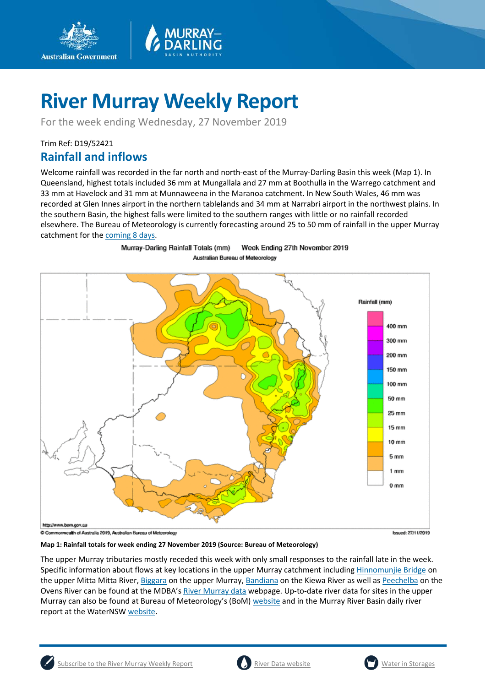

For the week ending Wednesday, 27 November 2019

### Trim Ref: D19/52421

**Australian Government** 

### **Rainfall and inflows**

Welcome rainfall was recorded in the far north and north-east of the Murray-Darling Basin this week (Map 1). In Queensland, highest totals included 36 mm at Mungallala and 27 mm at Boothulla in the Warrego catchment and 33 mm at Havelock and 31 mm at Munnaweena in the Maranoa catchment. In New South Wales, 46 mm was recorded at Glen Innes airport in the northern tablelands and 34 mm at Narrabri airport in the northwest plains. In the southern Basin, the highest falls were limited to the southern ranges with little or no rainfall recorded elsewhere. The Bureau of Meteorology is currently forecasting around 25 to 50 mm of rainfall in the upper Murray catchment for the [coming 8 days.](http://www.bom.gov.au/jsp/watl/rainfall/pme.jsp)



Murray-Darling Rainfall Totals (mm) Week Ending 27th November 2019 Australian Bureau of Meteorology

**Map 1: Rainfall totals for week ending 27 November 2019 (Source: Bureau of Meteorology)**

The upper Murray tributaries mostly receded this week with only small responses to the rainfall late in the week. Specific information about flows at key locations in the upper Murray catchment including [Hinnomunjie Bridge](https://riverdata.mdba.gov.au/hinnomunjie) on the upper Mitta Mitta River[, Biggara](https://riverdata.mdba.gov.au/biggara) on the upper Murray, [Bandiana](https://riverdata.mdba.gov.au/bandiana) on the Kiewa River as well a[s Peechelba](https://riverdata.mdba.gov.au/peechelba) on the Ovens River can be found at the MDBA'[s River Murray data](https://riverdata.mdba.gov.au/system-view) webpage. Up-to-date river data for sites in the upper Murray can also be found at Bureau of Meteorology's (BoM[\) website](http://www.bom.gov.au/cgi-bin/wrap_fwo.pl?IDV60151.html) and in the Murray River Basin daily river report at the WaterNSW [website.](https://realtimedata.waternsw.com.au/water.stm)



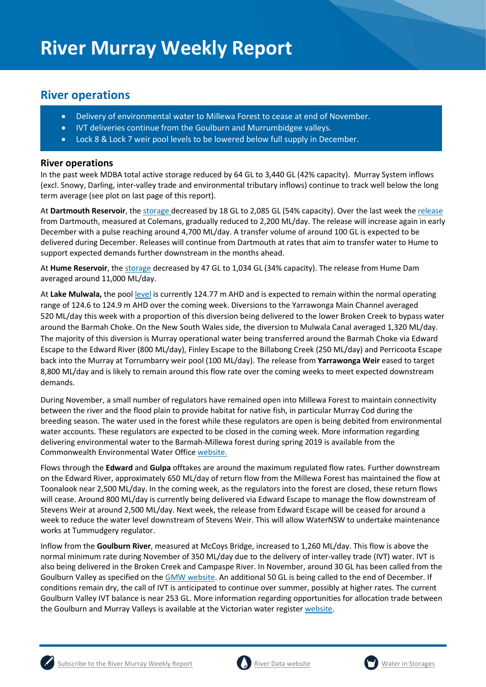### **River operations**

- Delivery of environmental water to Millewa Forest to cease at end of November.
- IVT deliveries continue from the Goulburn and Murrumbidgee valleys.
- Lock 8 & Lock 7 weir pool levels to be lowered below full supply in December.

### **River operations**

In the past week MDBA total active storage reduced by 64 GL to 3,440 GL (42% capacity). Murray System inflows (excl. Snowy, Darling, inter-valley trade and environmental tributary inflows) continue to track well below the long term average (see plot on last page of this report).

At **Dartmouth Reservoir**, the [storage](https://riverdata.mdba.gov.au/dartmouth-dam) decreased by 18 GL to 2,085 GL (54% capacity). Over the last week the [release](https://riverdata.mdba.gov.au/colemans) from Dartmouth, measured at Colemans, gradually reduced to 2,200 ML/day. The release will increase again in early December with a pulse reaching around 4,700 ML/day. A transfer volume of around 100 GL is expected to be delivered during December. Releases will continue from Dartmouth at rates that aim to transfer water to Hume to support expected demands further downstream in the months ahead.

At **Hume Reservoir**, the storage decreased by 47 GL to 1,034 GL (34% capacity). The release from Hume Dam averaged around 11,000 ML/day.

At **Lake Mulwala,** the pool [level](https://riverdata.mdba.gov.au/yarrawonga-weir-upstream) is currently 124.77 m AHD and is expected to remain within the normal operating range of 124.6 to 124.9 m AHD over the coming week. Diversions to the Yarrawonga Main Channel averaged 520 ML/day this week with a proportion of this diversion being delivered to the lower Broken Creek to bypass water around the Barmah Choke. On the New South Wales side, the diversion to Mulwala Canal averaged 1,320 ML/day. The majority of this diversion is Murray operational water being transferred around the Barmah Choke via Edward Escape to the Edward River (800 ML/day), Finley Escape to the Billabong Creek (250 ML/day) and Perricoota Escape back into the Murray at Torrumbarry weir pool (100 ML/day). The release from **Yarrawonga Weir** eased to target 8,800 ML/day and is likely to remain around this flow rate over the coming weeks to meet expected downstream demands.

During November, a small number of regulators have remained open into Millewa Forest to maintain connectivity between the river and the flood plain to provide habitat for native fish, in particular Murray Cod during the breeding season. The water used in the forest while these regulators are open is being debited from environmental water accounts. These regulators are expected to be closed in the coming week. More information regarding delivering environmental water to the Barmah-Millewa forest during spring 2019 is available from the Commonwealth Environmental Water Office [website.](https://www.environment.gov.au/water/cewo/media-release/worlds-largest-river-red-gum-forest)

Flows through the **Edward** and **Gulpa** offtakes are around the maximum regulated flow rates. Further downstream on the Edward River, approximately 650 ML/day of return flow from the Millewa Forest has maintained the flow at Toonalook near 2,500 ML/day. In the coming week, as the regulators into the forest are closed, these return flows will cease. Around 800 ML/day is currently being delivered via Edward Escape to manage the flow downstream of Stevens Weir at around 2,500 ML/day. Next week, the release from Edward Escape will be ceased for around a week to reduce the water level downstream of Stevens Weir. This will allow WaterNSW to undertake maintenance works at Tummudgery regulator.

Inflow from the **Goulburn River**, measured at McCoys Bridge, increased to 1,260 ML/day. This flow is above the normal minimum rate during November of 350 ML/day due to the delivery of inter-valley trade (IVT) water. IVT is also being delivered in the Broken Creek and Campaspe River. In November, around 30 GL has been called from the Goulburn Valley as specified on th[e GMW website.](https://www.g-mwater.com.au/water-resources/managing-water-storages) An additional 50 GL is being called to the end of December. If conditions remain dry, the call of IVT is anticipated to continue over summer, possibly at higher rates. The current Goulburn Valley IVT balance is near 253 GL. More information regarding opportunities for allocation trade between the Goulburn and Murray Valleys is available at the Victorian water registe[r website.](http://waterregister.vic.gov.au/water-trading/allocation-trading#AllocationTradeOpportunities)





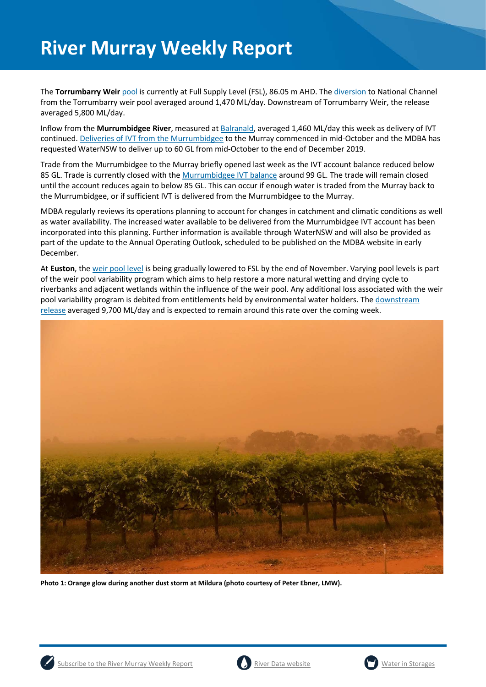The **Torrumbarry Weir** [pool](https://riverdata.mdba.gov.au/torrumbarry-weir-lock-26) is currently at Full Supply Level (FSL), 86.05 m AHD. Th[e diversion](https://riverdata.mdba.gov.au/national-channel-ds-torrumbarry-headworks) to National Channel from the Torrumbarry weir pool averaged around 1,470 ML/day. Downstream of Torrumbarry Weir, the release averaged 5,800 ML/day.

Inflow from the **Murrumbidgee River**, measured a[t Balranald,](https://riverdata.mdba.gov.au/balranald-weir-downstream) averaged 1,460 ML/day this week as delivery of IVT continued. [Deliveries of IVT from the Murrumbidgee](https://www.waternsw.com.au/supply/regional-nsw/operations-updates) to the Murray commenced in mid-October and the MDBA has requested WaterNSW to deliver up to 60 GL from mid-October to the end of December 2019.

Trade from the Murrumbidgee to the Murray briefly opened last week as the IVT account balance reduced below 85 GL. Trade is currently closed with the [Murrumbidgee IVT balance](https://www.waternsw.com.au/customer-service/ordering-trading-and-pricing/trading/murrumbidgee) around 99 GL. The trade will remain closed until the account reduces again to below 85 GL. This can occur if enough water is traded from the Murray back to the Murrumbidgee, or if sufficient IVT is delivered from the Murrumbidgee to the Murray.

MDBA regularly reviews its operations planning to account for changes in catchment and climatic conditions as well as water availability. The increased water available to be delivered from the Murrumbidgee IVT account has been incorporated into this planning. Further information is available through WaterNSW and will also be provided as part of the update to the Annual Operating Outlook, scheduled to be published on the MDBA website in early December.

At **Euston**, the [weir pool level](https://riverdata.mdba.gov.au/euston-weir-upstream) is being gradually lowered to FSL by the end of November. Varying pool levels is part of the weir pool variability program which aims to help restore a more natural wetting and drying cycle to riverbanks and adjacent wetlands within the influence of the weir pool. Any additional loss associated with the weir pool variability program is debited from entitlements held by environmental water holders. The [downstream](https://riverdata.mdba.gov.au/euston-weir-downstream)  [release](https://riverdata.mdba.gov.au/euston-weir-downstream) averaged 9,700 ML/day and is expected to remain around this rate over the coming week.



**Photo 1: Orange glow during another dust storm at Mildura (photo courtesy of Peter Ebner, LMW).**





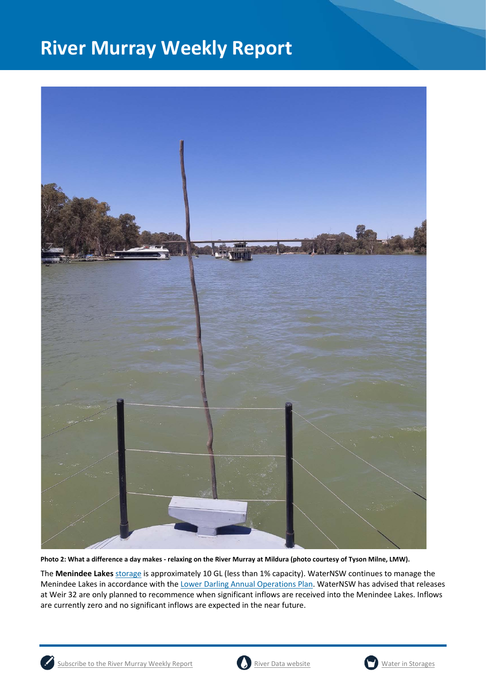

**Photo 2: What a difference a day makes - relaxing on the River Murray at Mildura (photo courtesy of Tyson Milne, LMW).**

The **Menindee Lakes** storage is approximately 10 GL (less than 1% capacity). WaterNSW continues to manage the Menindee Lakes in accordance with the [Lower Darling Annual Operations Plan.](https://www.waternsw.com.au/supply/regional-nsw/operations) WaterNSW has advised that releases at Weir 32 are only planned to recommence when significant inflows are received into the Menindee Lakes. Inflows are currently zero and no significant inflows are expected in the near future.





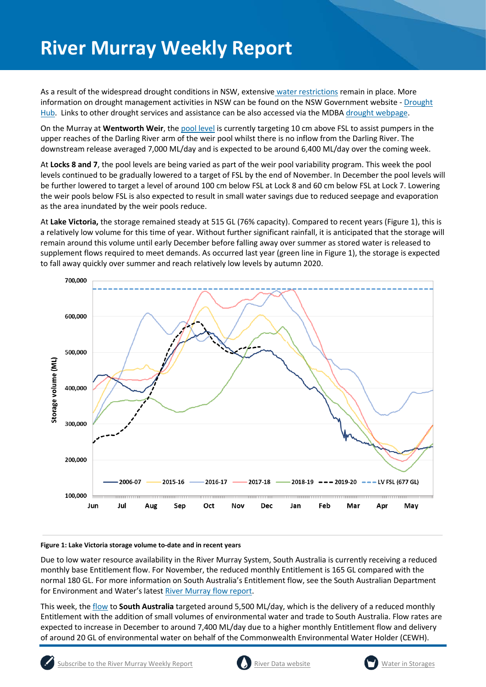As a result of the widespread drought conditions in NSW, extensive [water restrictions](https://www.waternsw.com.au/about/newsroom/2018/waternsw-confirms-restrictions-for-lower-darling-customers) remain in place. More information on drought management activities in NSW can be found on the NSW Government website - Drought [Hub.](https://www.dpi.nsw.gov.au/climate-and-emergencies/droughthub) Links to other drought services and assistance can be also accessed via the MDBA [drought webpage.](https://www.mdba.gov.au/managing-water/drought-murray-darling-basin)

On the Murray at **Wentworth Weir**, th[e pool level](https://riverdata.mdba.gov.au/wentworth-weir-lock-10) is currently targeting 10 cm above FSL to assist pumpers in the upper reaches of the Darling River arm of the weir pool whilst there is no inflow from the Darling River. The downstream release averaged 7,000 ML/day and is expected to be around 6,400 ML/day over the coming week.

At **Locks 8 and 7**, the pool levels are being varied as part of the weir pool variability program. This week the pool levels continued to be gradually lowered to a target of FSL by the end of November. In December the pool levels will be further lowered to target a level of around 100 cm below FSL at Lock 8 and 60 cm below FSL at Lock 7. Lowering the weir pools below FSL is also expected to result in small water savings due to reduced seepage and evaporation as the area inundated by the weir pools reduce.

At **Lake Victoria,** the storage remained steady at 515 GL (76% capacity). Compared to recent years (Figure 1), this is a relatively low volume for this time of year. Without further significant rainfall, it is anticipated that the storage will remain around this volume until early December before falling away over summer as stored water is released to supplement flows required to meet demands. As occurred last year (green line in Figure 1), the storage is expected to fall away quickly over summer and reach relatively low levels by autumn 2020.



#### **Figure 1: Lake Victoria storage volume to-date and in recent years**

Due to low water resource availability in the River Murray System, South Australia is currently receiving a reduced monthly base Entitlement flow. For November, the reduced monthly Entitlement is 165 GL compared with the normal 180 GL. For more information on South Australia's Entitlement flow, see the South Australian Department for Environment and Water's lates[t River Murray flow report.](https://www.waterconnect.sa.gov.au/River-Murray/SitePages/2019%20Flow%20Reports.aspx)

This week, th[e flow](https://riverdata.mdba.gov.au/flow-south-australia-calculated) to **South Australia** targeted around 5,500 ML/day, which is the delivery of a reduced monthly Entitlement with the addition of small volumes of environmental water and trade to South Australia. Flow rates are expected to increase in December to around 7,400 ML/day due to a higher monthly Entitlement flow and delivery of around 20 GL of environmental water on behalf of the Commonwealth Environmental Water Holder (CEWH).



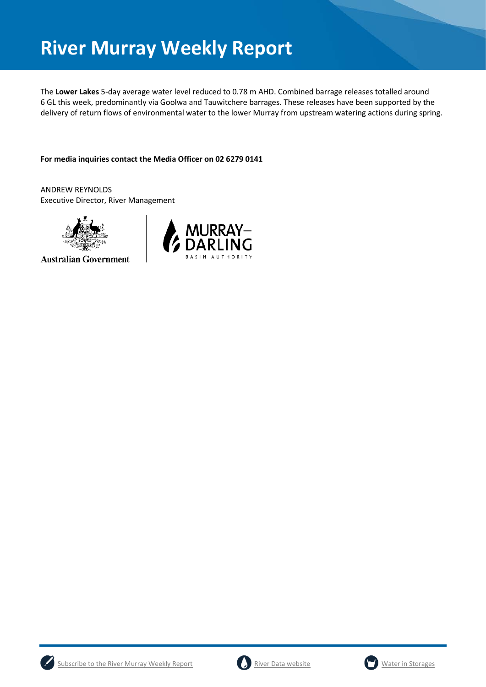The **Lower Lakes** 5-day average water level reduced to 0.78 m AHD. Combined barrage releases totalled around 6 GL this week, predominantly via Goolwa and Tauwitchere barrages. These releases have been supported by the delivery of return flows of environmental water to the lower Murray from upstream watering actions during spring.

**For media inquiries contact the Media Officer on 02 6279 0141**

ANDREW REYNOLDS Executive Director, River Management



**Australian Government** 







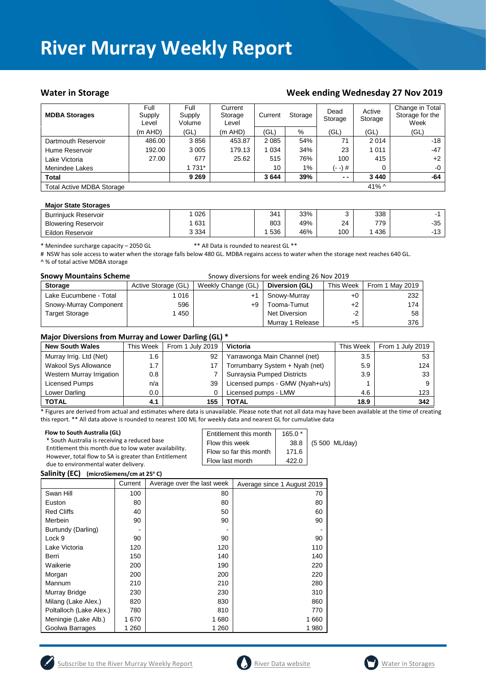### Water in Storage Water in Storage Week ending Wednesday 27 Nov 2019

| <b>MDBA Storages</b>             | Full<br>Supply<br>Level | Full<br>Supply<br>Volume | Current<br>Storage<br>Level | Current<br>Storage |     | Dead<br>Storage |             | Change in Total<br>Storage for the<br>Week |
|----------------------------------|-------------------------|--------------------------|-----------------------------|--------------------|-----|-----------------|-------------|--------------------------------------------|
|                                  | $(m$ AHD)               | (GL)                     | $(m$ AHD)                   | (GL)               | %   | (GL)            | (GL)        | (GL)                                       |
| Dartmouth Reservoir              | 486.00                  | 3856                     | 453.87                      | 2 0 8 5            | 54% | 71              | 2014        | $-18$                                      |
| Hume Reservoir                   | 192.00                  | 3 0 0 5                  | 179.13                      | 1034               | 34% | 23              | 1011        | $-47$                                      |
| Lake Victoria                    | 27.00                   | 677                      | 25.62                       | 515                | 76% | 100             | 415         | $+2$                                       |
| Menindee Lakes                   |                         | 1 731*                   |                             | 10                 | 1%  | (- -) #         | 0           | $-0$                                       |
| <b>Total</b>                     |                         | 9 2 6 9                  |                             | 3644               | 39% | $ -$            | 3 4 4 0     | -64                                        |
| <b>Total Active MDBA Storage</b> |                         |                          |                             |                    |     |                 | 41% $\land$ |                                            |

#### **Major State Storages**

| <b>Burriniuck Reservoir</b> | 026     | 341 | 33% |     | 338 |                        |
|-----------------------------|---------|-----|-----|-----|-----|------------------------|
| <b>Blowering Reservoir</b>  | 631     | 803 | 49% | 24  | 770 | $-35$                  |
| Eildon Reservoir            | 3 3 3 4 | 536 | 46% | 100 | 436 | $\overline{ }$<br>- 13 |

\* Menindee surcharge capacity – 2050 GL \*\* All Data is rounded to nearest GL \*\*

# NSW has sole access to water when the storage falls below 480 GL. MDBA regains access to water when the storage next reaches 640 GL. ^ % of total active MDBA storage

| <b>Snowy Mountains Scheme</b> | Snowy diversions for week ending 26 Nov 2019 |                    |                  |           |                 |  |
|-------------------------------|----------------------------------------------|--------------------|------------------|-----------|-----------------|--|
| <b>Storage</b>                | Active Storage (GL)                          | Weekly Change (GL) | Diversion (GL)   | This Week | From 1 May 2019 |  |
| Lake Eucumbene - Total        | 016                                          | +1                 | Snowy-Murray     | $+0$      | 232             |  |
| Snowy-Murray Component        | 596                                          | +9                 | Tooma-Tumut      | $+2$      | 174             |  |
| <b>Target Storage</b>         | 450                                          |                    | Net Diversion    | $-2$      | 58              |  |
|                               |                                              |                    | Murray 1 Release | $+5$      | 376             |  |

#### **Major Diversions from Murray and Lower Darling (GL) \***

| <b>New South Wales</b>    | This Week | From 1 July 2019 | Victoria                        | This Week | From 1 July 2019 |
|---------------------------|-----------|------------------|---------------------------------|-----------|------------------|
| Murray Irrig. Ltd (Net)   | 1.6       | 92               | Yarrawonga Main Channel (net)   | 3.5       | 53               |
| Wakool Sys Allowance      | 1.7       |                  | Torrumbarry System + Nyah (net) | 5.9       | 124              |
| Western Murray Irrigation | 0.8       |                  | Sunraysia Pumped Districts      | 3.9       | 33               |
| Licensed Pumps            | n/a       | 39               | Licensed pumps - GMW (Nyah+u/s) |           |                  |
| Lower Darling             | $0.0\,$   |                  | Licensed pumps - LMW            | 4.6       | 123              |
| <b>TOTAL</b>              | 4.1       | 155              | <b>TOTAL</b>                    | 18.9      | 342              |

\* Figures are derived from actual and estimates where data is unavailable. Please note that not all data may have been available at the time of creating this report. \*\* All data above is rounded to nearest 100 ML for weekly data and nearest GL for cumulative data

| Flow to South Australia (GL)<br>* South Australia is receiving a reduced base<br>Entitlement this month due to low water availability.<br>However, total flow to SA is greater than Entitlement | Entitlement this month<br>Flow this week<br>Flow so far this month | $165.0*$<br>38.8<br>171.6 | (5 500 ML/day) |
|-------------------------------------------------------------------------------------------------------------------------------------------------------------------------------------------------|--------------------------------------------------------------------|---------------------------|----------------|
| due to environmental water delivery.                                                                                                                                                            | Flow last month                                                    | 422.0                     |                |

**Salinity (EC) (microSiemens/cm at 25o C)**

|                         | Current | Average over the last week | Average since 1 August 2019 |
|-------------------------|---------|----------------------------|-----------------------------|
| Swan Hill               | 100     | 80                         | 70                          |
| Euston                  | 80      | 80                         | 80                          |
| <b>Red Cliffs</b>       | 40      | 50                         | 60                          |
| Merbein                 | 90      | 90                         | 90                          |
| Burtundy (Darling)      |         |                            |                             |
| Lock 9                  | 90      | 90                         | 90                          |
| Lake Victoria           | 120     | 120                        | 110                         |
| Berri                   | 150     | 140                        | 140                         |
| Waikerie                | 200     | 190                        | 220                         |
| Morgan                  | 200     | 200                        | 220                         |
| Mannum                  | 210     | 210                        | 280                         |
| Murray Bridge           | 230     | 230                        | 310                         |
| Milang (Lake Alex.)     | 820     | 830                        | 860                         |
| Poltalloch (Lake Alex.) | 780     | 810                        | 770                         |
| Meningie (Lake Alb.)    | 1670    | 1680                       | 1660                        |
| Goolwa Barrages         | 1 260   | 1 260                      | 1980                        |





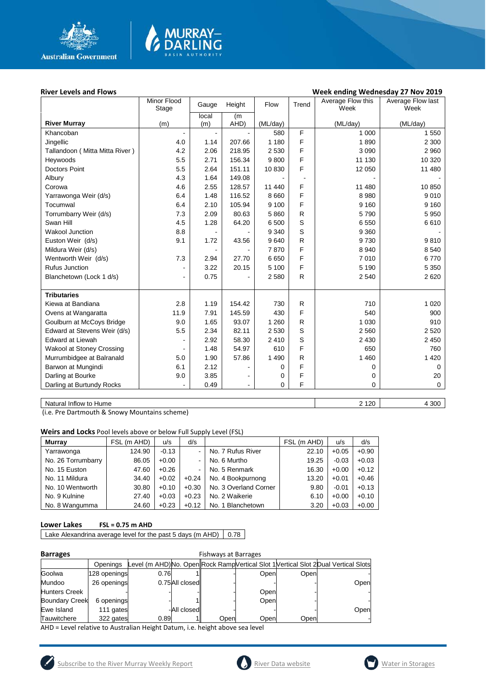

### **River Levels and Flows Week ending Wednesday 27 Nov 2019**

|                                | Minor Flood<br>Stage | Height<br>Gauge |                | Flow     | Trend                    | Average Flow this<br>Week | Average Flow last<br>Week |
|--------------------------------|----------------------|-----------------|----------------|----------|--------------------------|---------------------------|---------------------------|
|                                |                      | local           | (m             |          |                          |                           |                           |
| <b>River Murray</b>            | (m)                  | (m)             | AHD)           | (ML/day) |                          | (ML/day)                  | (ML/day)                  |
| Khancoban                      |                      | $\blacksquare$  |                | 580      | F                        | 1 0 0 0                   | 1 550                     |
| Jingellic                      | 4.0                  | 1.14            | 207.66         | 1 1 8 0  | F                        | 1890                      | 2 3 0 0                   |
| Tallandoon (Mitta Mitta River) | 4.2                  | 2.06            | 218.95         | 2 5 3 0  | F                        | 3 0 9 0                   | 2 9 6 0                   |
| Heywoods                       | 5.5                  | 2.71            | 156.34         | 9800     | F                        | 11 130                    | 10 320                    |
| <b>Doctors Point</b>           | 5.5                  | 2.64            | 151.11         | 10 830   | F                        | 12 050                    | 11 480                    |
| Albury                         | 4.3                  | 1.64            | 149.08         |          | $\overline{\phantom{a}}$ |                           |                           |
| Corowa                         | 4.6                  | 2.55            | 128.57         | 11 440   | F                        | 11 480                    | 10 850                    |
| Yarrawonga Weir (d/s)          | 6.4                  | 1.48            | 116.52         | 8 6 6 0  | F                        | 8 9 8 0                   | 9010                      |
| Tocumwal                       | 6.4                  | 2.10            | 105.94         | 9 100    | F                        | 9 1 6 0                   | 9 1 6 0                   |
| Torrumbarry Weir (d/s)         | 7.3                  | 2.09            | 80.63          | 5860     | $\mathsf{R}$             | 5790                      | 5 9 5 0                   |
| Swan Hill                      | 4.5                  | 1.28            | 64.20          | 6 500    | S                        | 6 5 5 0                   | 6610                      |
| <b>Wakool Junction</b>         | 8.8                  |                 |                | 9 3 4 0  | S                        | 9 3 6 0                   |                           |
| Euston Weir (d/s)              | 9.1                  | 1.72            | 43.56          | 9640     | R                        | 9730                      | 9810                      |
| Mildura Weir (d/s)             |                      |                 |                | 7870     | F                        | 8 9 4 0                   | 8 5 4 0                   |
| Wentworth Weir (d/s)           | 7.3                  | 2.94            | 27.70          | 6650     | F                        | 7010                      | 6770                      |
| <b>Rufus Junction</b>          |                      | 3.22            | 20.15          | 5 100    | F                        | 5 1 9 0                   | 5 3 5 0                   |
| Blanchetown (Lock 1 d/s)       |                      | 0.75            |                | 2580     | $\mathsf{R}$             | 2 5 4 0                   | 2620                      |
|                                |                      |                 |                |          |                          |                           |                           |
| <b>Tributaries</b>             |                      |                 |                |          |                          |                           |                           |
| Kiewa at Bandiana              | 2.8                  | 1.19            | 154.42         | 730      | R                        | 710                       | 1 0 2 0                   |
| Ovens at Wangaratta            | 11.9                 | 7.91            | 145.59         | 430      | F                        | 540                       | 900                       |
| Goulburn at McCoys Bridge      | 9.0                  | 1.65            | 93.07          | 1 2 6 0  | R                        | 1 0 3 0                   | 910                       |
| Edward at Stevens Weir (d/s)   | 5.5                  | 2.34            | 82.11          | 2 5 3 0  | S                        | 2 5 6 0                   | 2 5 20                    |
| Edward at Liewah               |                      | 2.92            | 58.30          | 2 4 1 0  | S                        | 2 4 3 0                   | 2 4 5 0                   |
| Wakool at Stoney Crossing      |                      | 1.48            | 54.97          | 610      | F                        | 650                       | 760                       |
| Murrumbidgee at Balranald      | 5.0                  | 1.90            | 57.86          | 1 4 9 0  | R                        | 1 4 6 0                   | 1 4 2 0                   |
| Barwon at Mungindi             | 6.1                  | 2.12            |                | 0        | F                        | 0                         | 0                         |
| Darling at Bourke              | 9.0                  | 3.85            |                | 0        | F                        | 0                         | 20                        |
| Darling at Burtundy Rocks      |                      | 0.49            | $\blacksquare$ | 0        | F                        | 0                         | $\mathbf 0$               |
|                                |                      |                 |                |          |                          |                           |                           |

**MURRAY-<br>DARLING** 

Natural Inflow to Hume 4 300

(i.e. Pre Dartmouth & Snowy Mountains scheme)

**Weirs and Locks** Pool levels above or below Full Supply Level (FSL)

| <b>Murrav</b>      | FSL (m AHD) | u/s     | d/s     |                       | FSL (m AHD) | u/s     | d/s     |
|--------------------|-------------|---------|---------|-----------------------|-------------|---------|---------|
| Yarrawonga         | 124.90      | $-0.13$ |         | No. 7 Rufus River     | 22.10       | $+0.05$ | $+0.90$ |
| No. 26 Torrumbarry | 86.05       | $+0.00$ | ۰.      | No. 6 Murtho          | 19.25       | $-0.03$ | $+0.03$ |
| No. 15 Euston      | 47.60       | $+0.26$ | ۰.      | No. 5 Renmark         | 16.30       | $+0.00$ | $+0.12$ |
| No. 11 Mildura     | 34.40       | $+0.02$ | $+0.24$ | No. 4 Bookpurnong     | 13.20       | $+0.01$ | $+0.46$ |
| No. 10 Wentworth   | 30.80       | $+0.10$ | $+0.30$ | No. 3 Overland Corner | 9.80        | $-0.01$ | $+0.13$ |
| No. 9 Kulnine      | 27.40       | $+0.03$ | $+0.23$ | No. 2 Waikerie        | 6.10        | $+0.00$ | $+0.10$ |
| No. 8 Wangumma     | 24.60       | $+0.23$ | $+0.12$ | No. 1 Blanchetown     | 3.20        | $+0.03$ | $+0.00$ |

### **Lower Lakes FSL = 0.75 m AHD**

Lake Alexandrina average level for the past 5 days (m AHD)  $\Big| 0.78 \Big|$ 

| . . | arra | u |
|-----|------|---|
|     |      |   |

| <b>Barrages</b>       | <b>Fishways at Barrages</b> |      |                |      |      |      |                                                                                     |
|-----------------------|-----------------------------|------|----------------|------|------|------|-------------------------------------------------------------------------------------|
|                       | Openinas                    |      |                |      |      |      | Level (m AHD)No. Open Rock Ramp Vertical Slot 1 Vertical Slot 2 Dual Vertical Slots |
| Goolwa                | 128 openings                | 0.76 |                |      | Open | Open |                                                                                     |
| Mundoo                | 26 openings                 |      | 0.75All closed |      |      |      | Open                                                                                |
| <b>Hunters Creek</b>  |                             |      |                |      | Open |      |                                                                                     |
| <b>Boundary Creek</b> | 6 openings                  |      |                |      | Open |      |                                                                                     |
| Ewe Island            | 111 gates                   |      | -All closed    |      |      |      | Open                                                                                |
| Tauwitchere           | 322 gates                   | 0.89 |                | Open | Open | Open |                                                                                     |

AHD = Level relative to Australian Height Datum, i.e. height above sea level